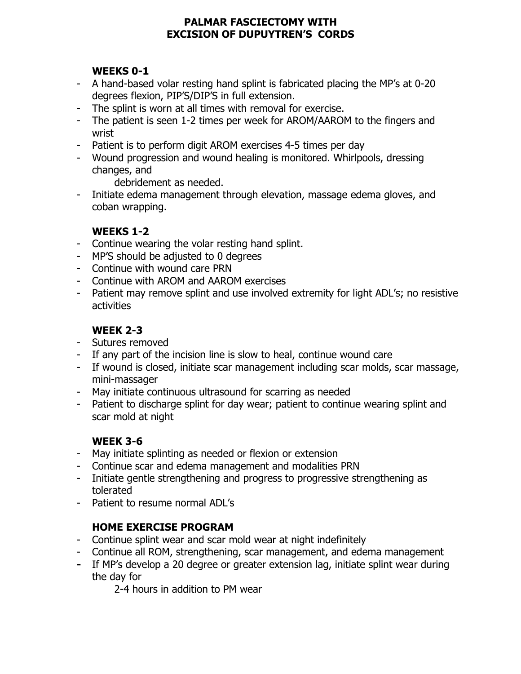#### **PALMAR FASCIECTOMY WITH EXCISION OF DUPUYTREN'S CORDS**

### **WEEKS 0-1**

- A hand-based volar resting hand splint is fabricated placing the MP's at 0-20 degrees flexion, PIP'S/DIP'S in full extension.
- The splint is worn at all times with removal for exercise.
- The patient is seen 1-2 times per week for AROM/AAROM to the fingers and wrist
- Patient is to perform digit AROM exercises 4-5 times per day
- Wound progression and wound healing is monitored. Whirlpools, dressing changes, and

debridement as needed.

- Initiate edema management through elevation, massage edema gloves, and coban wrapping.

# **WEEKS 1-2**

- Continue wearing the volar resting hand splint.
- MP'S should be adjusted to 0 degrees
- Continue with wound care PRN
- Continue with AROM and AAROM exercises
- Patient may remove splint and use involved extremity for light ADL's; no resistive activities

# **WEEK 2-3**

- Sutures removed
- If any part of the incision line is slow to heal, continue wound care
- If wound is closed, initiate scar management including scar molds, scar massage, mini-massager
- May initiate continuous ultrasound for scarring as needed
- Patient to discharge splint for day wear; patient to continue wearing splint and scar mold at night

# **WEEK 3-6**

- May initiate splinting as needed or flexion or extension
- Continue scar and edema management and modalities PRN
- Initiate gentle strengthening and progress to progressive strengthening as tolerated
- Patient to resume normal ADL's

### **HOME EXERCISE PROGRAM**

- Continue splint wear and scar mold wear at night indefinitely
- Continue all ROM, strengthening, scar management, and edema management
- **-** If MP's develop a 20 degree or greater extension lag, initiate splint wear during the day for

2-4 hours in addition to PM wear